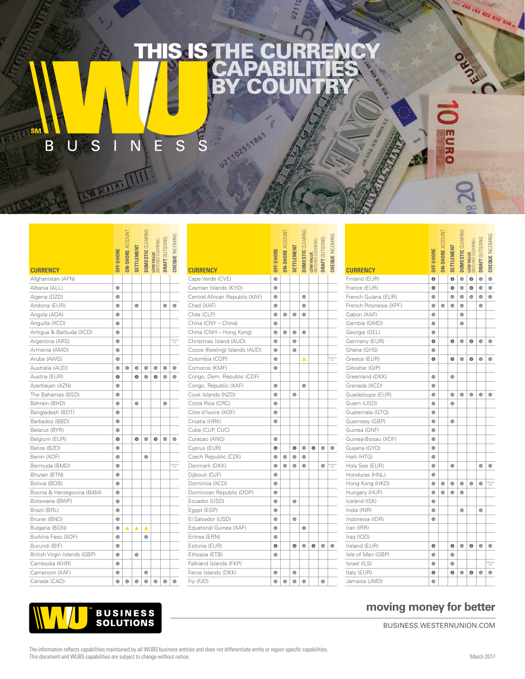## THE CURRENCY **CAPABILITIES** BY COUNTRY **THIS IS T**

**UZ110255186** 

 $\begin{array}{c|c} \hline \mathsf{U} & \mathsf{S} & \mathsf{I} \end{array}$ È B  $\overline{\mathsf{N}}$ S

ģ

|                              | JFF-SHORE | IN-SHORE AO | SETTLEMENT | <b>DOMESTIC</b> CLEARIN | LOW VALUE<br>(BATCHED CLEARING) | <b>DRAFT OUTGOING</b> | <b>COUR INCOMING</b> |
|------------------------------|-----------|-------------|------------|-------------------------|---------------------------------|-----------------------|----------------------|
| <b>CURRENCY</b>              |           |             |            |                         |                                 |                       |                      |
| Afghanistan (AFN)            |           |             |            |                         |                                 |                       |                      |
| Albania (ALL)                | $\bullet$ |             |            |                         |                                 |                       |                      |
| Algeria (DZD)                | $\bullet$ |             |            |                         |                                 |                       |                      |
| Andorra (EUR)                | $\bullet$ |             | $\bullet$  |                         |                                 | $\bullet$             | ۰                    |
| Angola (AOA)                 | $\bullet$ |             |            |                         |                                 |                       |                      |
| Anguilla (XCD)               | ۰         |             |            |                         |                                 |                       |                      |
| Antigua & Barbuda (XCD)      | $\bullet$ |             |            |                         |                                 |                       |                      |
| Argentina (ARS)              | $\bullet$ |             |            |                         |                                 |                       | Collectio<br>crily   |
| Armenia (AMD)                | $\bullet$ |             |            |                         |                                 |                       |                      |
| Aruba (AWG)                  | $\bullet$ |             |            |                         |                                 |                       |                      |
| Australia (AUD)              | $\bullet$ | $\bullet$   | $\bullet$  | $\bullet$               | $\bullet$                       | ۰                     | $\bullet$            |
| Austria (EUR)                | Θ         |             | Θ          | $\bullet$               | Θ                               | ۰                     | ۰                    |
| Azerbaijan (AZN)             | $\bullet$ |             |            |                         |                                 |                       |                      |
| The Bahamas (BSD)            | $\bullet$ |             |            |                         |                                 |                       |                      |
| Bahrain (BHD)                | $\bullet$ |             | $\bullet$  |                         |                                 | $\bullet$             |                      |
| Bangladesh (BDT)             | $\bullet$ |             |            |                         |                                 |                       |                      |
| Barbados (BBD)               | $\bullet$ |             |            |                         |                                 |                       |                      |
| Belarus (BYR)                | ۰         |             |            |                         |                                 |                       |                      |
| Belgium (EUR)                | ◉         |             | ◉          | $\bullet$               | ◉                               | $\bullet$             | $\bullet$            |
| Belize (BZD)                 | $\bullet$ |             |            |                         |                                 |                       |                      |
| Benin (XOF)                  | $\bullet$ |             |            | ۰                       |                                 |                       |                      |
| Bermuda (BMD)                | $\bullet$ |             |            |                         |                                 |                       | Collectic<br>crily   |
| Bhutan (BTN)                 | ۰         |             |            |                         |                                 |                       |                      |
| Bolivia (BOB)                | $\bullet$ |             |            |                         |                                 |                       |                      |
| Bosnia & Herzegovina (BAM)   | $\bullet$ |             |            |                         |                                 |                       |                      |
| Botswana (BWP)               | $\bullet$ |             |            |                         |                                 |                       |                      |
| Brazil (BRL)                 | $\bullet$ |             |            |                         |                                 |                       |                      |
| Brunei (BND)                 | $\bullet$ |             |            |                         |                                 |                       |                      |
| Bulgaria (BGN)               | $\bullet$ | Δ           | ▲          | Δ                       |                                 |                       |                      |
| Burkina Faso (XOF)           | ۰         |             |            | ۰                       |                                 |                       |                      |
| Burundi (BIF)                | $\bullet$ |             |            |                         |                                 |                       |                      |
| British Virgin Islands (GBP) | $\bullet$ |             | $\bullet$  |                         |                                 |                       |                      |
| Cambodia (KHR)               | $\bullet$ |             |            |                         |                                 |                       |                      |
| Cameroon (XAF)               | $\bullet$ |             |            | $\bullet$               |                                 |                       |                      |
| Canada (CAD)                 | ۰         | $\bullet$   | $\bullet$  | $\bullet$               | $\bullet$                       | $\bullet$             | $\bullet$            |

|                                | <b>OFF-SHORE</b> | <b>IN-SHORE ACCO</b> | <b>SETTLEMENT</b> |           | DOMESTIC CLEAR <br>LOW VALUE<br>(BATCHED CLEARING)<br>DRAFT OUTGOING |           |                     |
|--------------------------------|------------------|----------------------|-------------------|-----------|----------------------------------------------------------------------|-----------|---------------------|
| <b>CURRENCY</b>                |                  |                      |                   |           |                                                                      |           |                     |
| Cape Verde (CVE)               | $\bullet$        |                      |                   |           |                                                                      |           |                     |
| Cayman Islands (KYD)           | $\bullet$        |                      |                   |           |                                                                      |           |                     |
| Central African Republic (XAF) | $\bullet$        |                      |                   | $\bullet$ |                                                                      |           |                     |
| Chad (XAF)                     | $\bullet$        |                      |                   | $\bullet$ |                                                                      |           |                     |
| Chile (CLP)                    | $\bullet$        | $\bullet$            | ۰                 | $\bullet$ |                                                                      |           |                     |
| China (CNY - China)            | $\bullet$        |                      |                   |           |                                                                      |           |                     |
| China (CNH - Hong Kong)        | $\bullet$        | $\bullet$            | $\bullet$         | $\bullet$ |                                                                      |           |                     |
| Christmas Island (AUD)         | $\bullet$        |                      | $\bullet$         |           |                                                                      |           |                     |
| Cocos (Keeling) Islands (AUD)  | $\bullet$        |                      | $\bullet$         |           |                                                                      |           |                     |
| Colombia (COP)                 | $\bullet$        |                      |                   | ▲         |                                                                      |           | Collection<br>crily |
| Comoros (KMF)                  | $\bullet$        |                      |                   |           |                                                                      |           |                     |
| Congo, Dem. Republic (CDF)     |                  |                      |                   |           |                                                                      |           |                     |
| Congo, Republic (XAF)          | $\bullet$        |                      |                   | $\bullet$ |                                                                      |           |                     |
| Cook Islands (NZD)             | ۰                |                      | $\bullet$         |           |                                                                      |           |                     |
| Costa Rica (CRC)               | $\bullet$        |                      |                   |           |                                                                      |           |                     |
| Côte d'Ivoire (XOF)            | $\bullet$        |                      |                   |           |                                                                      |           |                     |
| Croatia (HRK)                  | $\bullet$        |                      |                   |           |                                                                      |           |                     |
| Cuba (CUP, CUC)                |                  |                      |                   |           |                                                                      |           |                     |
| Curacao (ANG)                  | $\bullet$        |                      |                   |           |                                                                      |           |                     |
| Cyprus (EUR)                   | 0                |                      | 0                 | $\bullet$ | 0                                                                    | ۰         | a                   |
| Czech Republic (CZK)           | $\bullet$        | ۰                    | $\bullet$         | $\bullet$ |                                                                      |           |                     |
| Denmark (DKK)                  | $\bullet$        | $\bullet$            | $\bullet$         | $\bullet$ |                                                                      | $\bullet$ | Collecti<br>crily   |
| Djibouti (DJF)                 | $\bullet$        |                      |                   |           |                                                                      |           |                     |
| Dominica (XCD)                 | $\bullet$        |                      |                   |           |                                                                      |           |                     |
| Dominican Republic (DOP)       | $\bullet$        |                      |                   |           |                                                                      |           |                     |
| Ecuador (USD)                  | ۰                |                      | $\bullet$         |           |                                                                      |           |                     |
| Egypt (EGP)                    | $\bullet$        |                      |                   |           |                                                                      |           |                     |
| El Salvador (USD)              | $\bullet$        |                      | $\bullet$         |           |                                                                      |           |                     |
| Equatorial Guinea (XAF)        | $\bullet$        |                      |                   | $\bullet$ |                                                                      |           |                     |
| Eritrea (ERN)                  | $\bullet$        |                      |                   |           |                                                                      |           |                     |
| Estonia (EUR)                  | Θ                |                      | $\bullet$         | $\bullet$ | ⊜                                                                    | $\bullet$ | ٥                   |
| Ethiopia (ETB)                 | $\bullet$        |                      |                   |           |                                                                      |           |                     |
| Falkland Islands (FKP)         |                  |                      |                   |           |                                                                      |           |                     |
| Faroe Islands (DKK)            | $\bullet$        |                      | $\bullet$         |           |                                                                      |           |                     |
| Fiji (FJD)                     | $\bullet$        | $\bullet$            | $\bullet$         | $\bullet$ |                                                                      | $\bullet$ |                     |

EARING

COUNT

|                           | <b>OFF-SHORE</b> | <b>ON-SHORE AC</b> | <b>SETTLEMENT</b> | <b>DOMESTIC CL</b> | LOW VALUE<br>(BATCHED CLEARING) | <b>DRAFT OUTGOING</b> | CHEQUE INCOMING   |
|---------------------------|------------------|--------------------|-------------------|--------------------|---------------------------------|-----------------------|-------------------|
| CURRENCY<br>Finland (EUR) | $\Theta$         |                    | $\bullet$         | $\bullet$          | $\bullet$                       | $\bullet$             | $\bullet$         |
| France (EUR)              | $\bullet$        |                    | $\bullet$         | $\bullet$          | Ô                               | $\bullet$             | $\bullet$         |
| French Guiana (EUR)       | $\bullet$        |                    | $\bullet$         | $\bullet$          | ۰                               | ۰                     | $\bullet$         |
| French Polynesia (XPF)    | $\bullet$        | $\bullet$          | $\bullet$         | $\bullet$          |                                 | $\bullet$             |                   |
| Gabon (XAF)               | ۰                |                    |                   | $\bullet$          |                                 |                       |                   |
| Gambia (GMD)              | $\bullet$        |                    |                   | $\bullet$          |                                 |                       |                   |
| Georgia (GEL)             | $\bullet$        |                    |                   |                    |                                 |                       |                   |
| Germany (EUR)             | ◉                |                    | $\bullet$         | $\bullet$          | $\bullet$                       | $\bullet$             | ٥                 |
| Ghana (GHS)               | $\bullet$        |                    |                   |                    |                                 |                       |                   |
| Greece (EUR)              | ❺                |                    | ◉                 | $\bullet$          | ❺                               | $\bullet$             | $\bullet$         |
| Gibraltar (GIP)           |                  |                    |                   |                    |                                 |                       |                   |
| Greenland (DKK)           | $\bullet$        |                    | $\bullet$         |                    |                                 |                       |                   |
| Grenada (XCD)             | $\bullet$        |                    |                   |                    |                                 |                       |                   |
| Guadeloupe (EUR)          | ۰                |                    | ۰                 | $\bullet$          | ۰                               | $\bullet$             | ۰                 |
| Guam (USD)                | $\bullet$        |                    | $\bullet$         |                    |                                 |                       |                   |
| Guatemala (GTQ)           | $\bullet$        |                    |                   |                    |                                 |                       |                   |
| Guernsey (GBP)            | $\bullet$        |                    | $\bullet$         |                    |                                 |                       |                   |
| Guinea (GNF)              | $\bullet$        |                    |                   |                    |                                 |                       |                   |
| Guinea-Bissau (XOF)       | $\bullet$        |                    |                   |                    |                                 |                       |                   |
| Guyana (GYD)              | ۰                |                    |                   |                    |                                 |                       |                   |
| Haiti (HTG)               | $\bullet$        |                    |                   |                    |                                 |                       |                   |
| Holy See (EUR)            | $\bullet$        |                    | $\bullet$         |                    |                                 | $\bullet$             | ٥                 |
| Honduras (HNL)            | $\bullet$        |                    |                   |                    |                                 |                       |                   |
| Hong Kong (HKD)           | $\bullet$        | $\bullet$          | $\bullet$         | $\bullet$          | ۰                               | $\bullet$             | Collectio<br>only |
| Hungary (HUF)             | $\bullet$        | $\bullet$          | $\bullet$         | $\bullet$          |                                 |                       |                   |
| Iceland (ISK)             | $\bullet$        |                    |                   |                    |                                 |                       |                   |
| India (INR)               | $\bullet$        |                    |                   | 0                  |                                 | 0                     |                   |
| Indonesia (IDR)           | $\bullet$        |                    |                   |                    |                                 |                       |                   |
| Iran (IRR)                |                  |                    |                   |                    |                                 |                       |                   |
| Iraq (IQD)                |                  |                    |                   |                    |                                 |                       |                   |
| Ireland (EUR)             | $\Theta$         |                    | $\bullet$         | $\bullet$          | Θ                               | $\bullet$             | c                 |
| Isle of Man (GBP)         | ۰                |                    | ۰                 |                    |                                 |                       |                   |
| Israel (ILS)              | $\bullet$        |                    | $\bullet$         |                    |                                 |                       | Collectiv<br>only |
| Italy (EUR)               | $\bullet$        |                    | $\bullet$         | $\bullet$          | Θ                               | $\bullet$             | $\bullet$         |
| Jamaica (JMD)             | ٠                |                    |                   |                    |                                 |                       |                   |

a Gans



## **moving money for better**

BUSINESS.WESTERNUNION.COM

1 433 433 823 833 338

**EURO** 

 $\overline{S}$